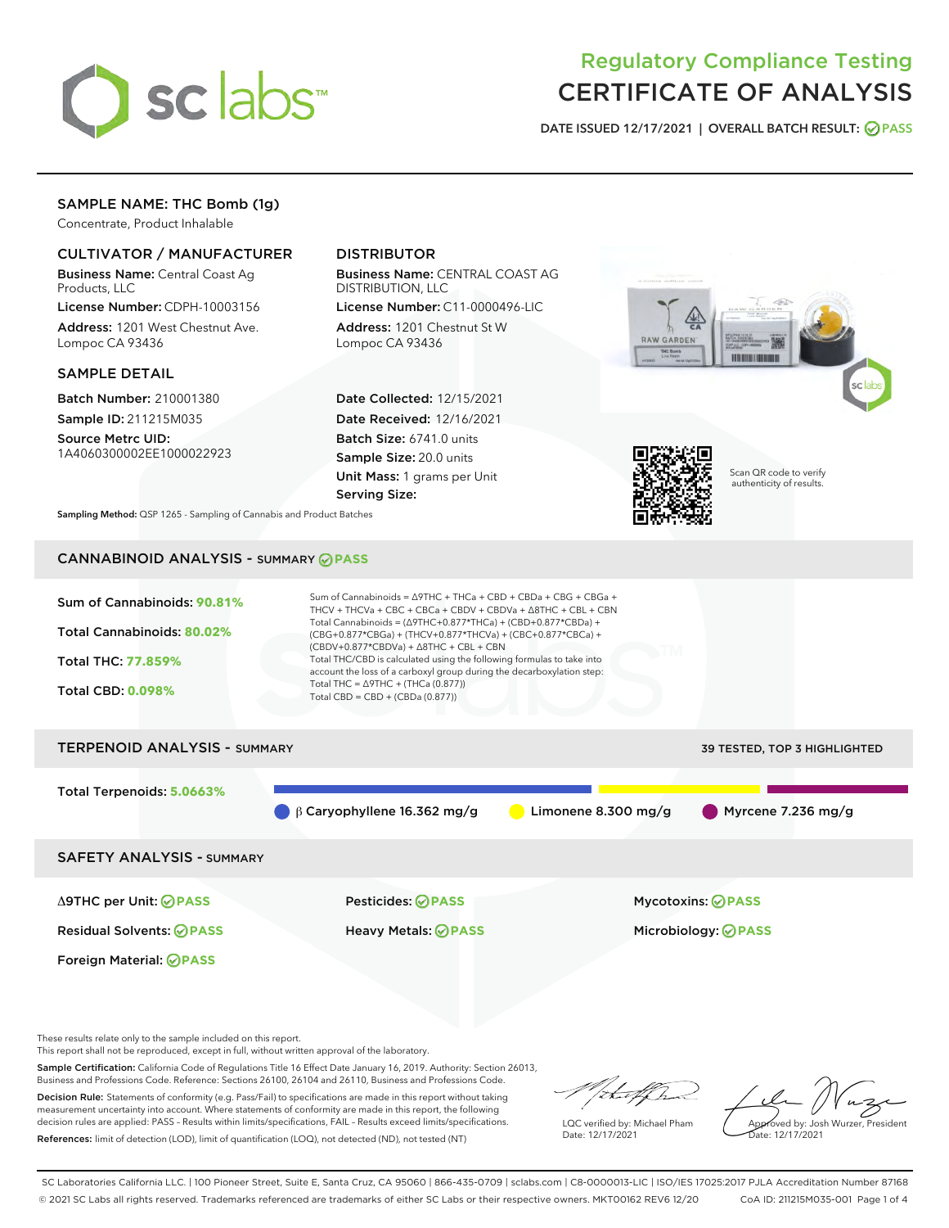

# Regulatory Compliance Testing CERTIFICATE OF ANALYSIS

DATE ISSUED 12/17/2021 | OVERALL BATCH RESULT: @ PASS

# SAMPLE NAME: THC Bomb (1g)

Concentrate, Product Inhalable

# CULTIVATOR / MANUFACTURER

Business Name: Central Coast Ag Products, LLC

License Number: CDPH-10003156 Address: 1201 West Chestnut Ave. Lompoc CA 93436

#### SAMPLE DETAIL

Batch Number: 210001380 Sample ID: 211215M035

Source Metrc UID: 1A4060300002EE1000022923

# DISTRIBUTOR

Business Name: CENTRAL COAST AG DISTRIBUTION, LLC

License Number: C11-0000496-LIC Address: 1201 Chestnut St W Lompoc CA 93436

Date Collected: 12/15/2021 Date Received: 12/16/2021 Batch Size: 6741.0 units Sample Size: 20.0 units Unit Mass: 1 grams per Unit Serving Size:





Scan QR code to verify authenticity of results.

Sampling Method: QSP 1265 - Sampling of Cannabis and Product Batches

# CANNABINOID ANALYSIS - SUMMARY **PASS**



Foreign Material: **PASS**

Δ9THC per Unit: **PASS** Pesticides: **PASS** Mycotoxins: **PASS**

Residual Solvents: **PASS** Heavy Metals: **PASS** Microbiology: **PASS**

These results relate only to the sample included on this report.

This report shall not be reproduced, except in full, without written approval of the laboratory.

Sample Certification: California Code of Regulations Title 16 Effect Date January 16, 2019. Authority: Section 26013, Business and Professions Code. Reference: Sections 26100, 26104 and 26110, Business and Professions Code.

Decision Rule: Statements of conformity (e.g. Pass/Fail) to specifications are made in this report without taking measurement uncertainty into account. Where statements of conformity are made in this report, the following decision rules are applied: PASS – Results within limits/specifications, FAIL – Results exceed limits/specifications. References: limit of detection (LOD), limit of quantification (LOQ), not detected (ND), not tested (NT)

that for

LQC verified by: Michael Pham Date: 12/17/2021

Approved by: Josh Wurzer, President ate: 12/17/2021

SC Laboratories California LLC. | 100 Pioneer Street, Suite E, Santa Cruz, CA 95060 | 866-435-0709 | sclabs.com | C8-0000013-LIC | ISO/IES 17025:2017 PJLA Accreditation Number 87168 © 2021 SC Labs all rights reserved. Trademarks referenced are trademarks of either SC Labs or their respective owners. MKT00162 REV6 12/20 CoA ID: 211215M035-001 Page 1 of 4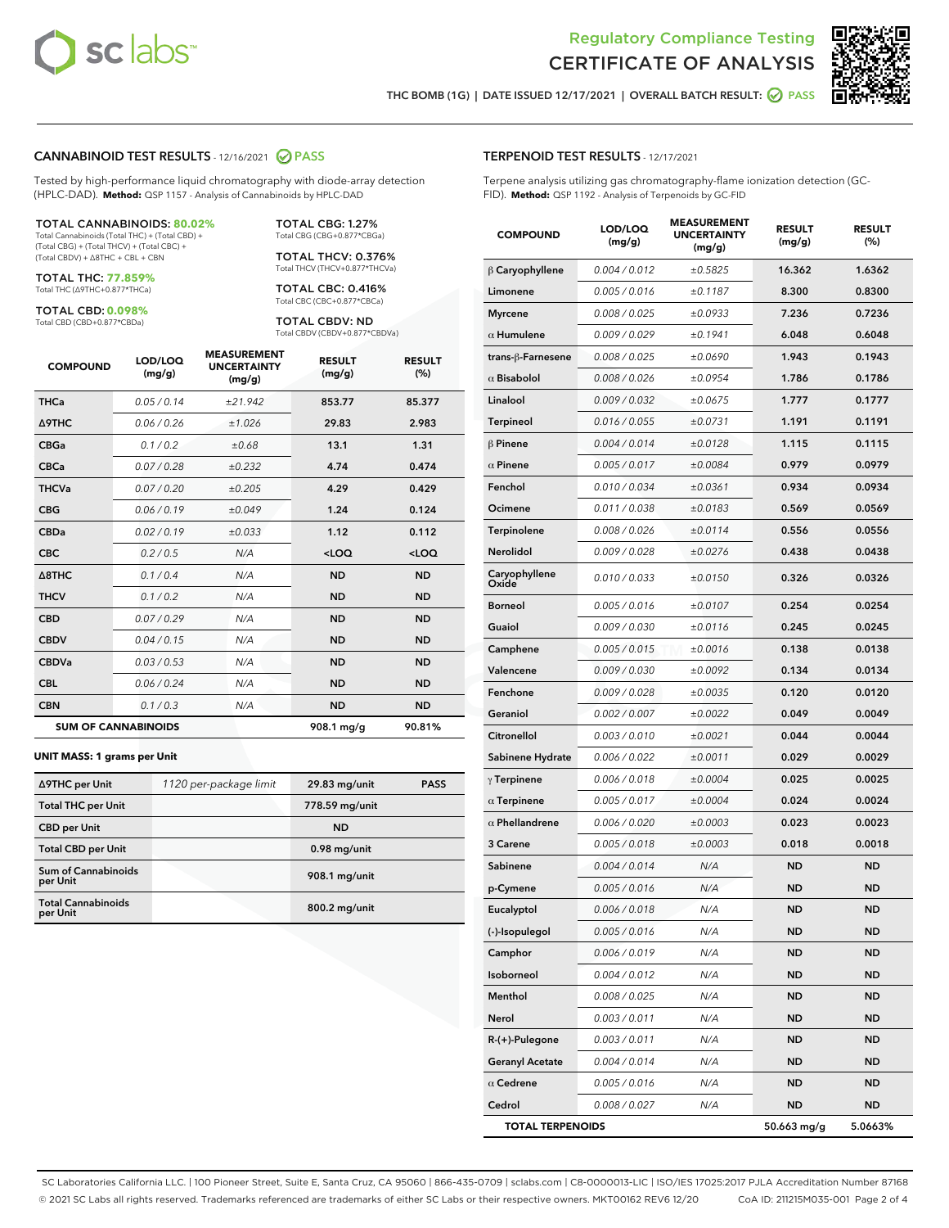



THC BOMB (1G) | DATE ISSUED 12/17/2021 | OVERALL BATCH RESULT:  $\bigcirc$  PASS

#### CANNABINOID TEST RESULTS - 12/16/2021 2 PASS

Tested by high-performance liquid chromatography with diode-array detection (HPLC-DAD). **Method:** QSP 1157 - Analysis of Cannabinoids by HPLC-DAD

#### TOTAL CANNABINOIDS: **80.02%**

Total Cannabinoids (Total THC) + (Total CBD) + (Total CBG) + (Total THCV) + (Total CBC) + (Total CBDV) + ∆8THC + CBL + CBN

TOTAL THC: **77.859%** Total THC (∆9THC+0.877\*THCa)

TOTAL CBD: **0.098%**

Total CBD (CBD+0.877\*CBDa)

TOTAL CBG: 1.27% Total CBG (CBG+0.877\*CBGa)

TOTAL THCV: 0.376% Total THCV (THCV+0.877\*THCVa)

TOTAL CBC: 0.416% Total CBC (CBC+0.877\*CBCa)

TOTAL CBDV: ND Total CBDV (CBDV+0.877\*CBDVa)

| <b>COMPOUND</b>  | LOD/LOQ<br>(mg/g)          | <b>MEASUREMENT</b><br><b>UNCERTAINTY</b><br>(mg/g) | <b>RESULT</b><br>(mg/g) | <b>RESULT</b><br>(%) |
|------------------|----------------------------|----------------------------------------------------|-------------------------|----------------------|
| <b>THCa</b>      | 0.05 / 0.14                | ±21.942                                            | 853.77                  | 85.377               |
| <b>A9THC</b>     | 0.06 / 0.26                | ±1.026                                             | 29.83                   | 2.983                |
| <b>CBGa</b>      | 0.1 / 0.2                  | ±0.68                                              | 13.1                    | 1.31                 |
| <b>CBCa</b>      | 0.07 / 0.28                | ±0.232                                             | 4.74                    | 0.474                |
| <b>THCVa</b>     | 0.07/0.20                  | ±0.205                                             | 4.29                    | 0.429                |
| <b>CBG</b>       | 0.06/0.19                  | ±0.049                                             | 1.24                    | 0.124                |
| <b>CBDa</b>      | 0.02/0.19                  | ±0.033                                             | 1.12                    | 0.112                |
| <b>CBC</b>       | 0.2 / 0.5                  | N/A                                                | $<$ LOQ                 | $<$ LOQ              |
| $\triangle$ 8THC | 0.1/0.4                    | N/A                                                | <b>ND</b>               | <b>ND</b>            |
| <b>THCV</b>      | 0.1 / 0.2                  | N/A                                                | <b>ND</b>               | <b>ND</b>            |
| <b>CBD</b>       | 0.07/0.29                  | N/A                                                | <b>ND</b>               | <b>ND</b>            |
| <b>CBDV</b>      | 0.04 / 0.15                | N/A                                                | <b>ND</b>               | <b>ND</b>            |
| <b>CBDVa</b>     | 0.03 / 0.53                | N/A                                                | <b>ND</b>               | <b>ND</b>            |
| <b>CBL</b>       | 0.06 / 0.24                | N/A                                                | <b>ND</b>               | <b>ND</b>            |
| <b>CBN</b>       | 0.1/0.3                    | N/A                                                | <b>ND</b>               | <b>ND</b>            |
|                  | <b>SUM OF CANNABINOIDS</b> |                                                    | 908.1 mg/g              | 90.81%               |

#### **UNIT MASS: 1 grams per Unit**

| ∆9THC per Unit                        | 1120 per-package limit | 29.83 mg/unit  | <b>PASS</b> |
|---------------------------------------|------------------------|----------------|-------------|
| <b>Total THC per Unit</b>             |                        | 778.59 mg/unit |             |
| <b>CBD</b> per Unit                   |                        | <b>ND</b>      |             |
| <b>Total CBD per Unit</b>             |                        | $0.98$ mg/unit |             |
| Sum of Cannabinoids<br>per Unit       |                        | 908.1 mg/unit  |             |
| <b>Total Cannabinoids</b><br>per Unit |                        | 800.2 mg/unit  |             |

#### TERPENOID TEST RESULTS - 12/17/2021

Terpene analysis utilizing gas chromatography-flame ionization detection (GC-FID). **Method:** QSP 1192 - Analysis of Terpenoids by GC-FID

| <b>COMPOUND</b>         | LOD/LOQ<br>(mg/g) | <b>MEASUREMENT</b><br><b>UNCERTAINTY</b><br>(mg/g) | <b>RESULT</b><br>(mg/g) | <b>RESULT</b><br>(%) |
|-------------------------|-------------------|----------------------------------------------------|-------------------------|----------------------|
| $\beta$ Caryophyllene   | 0.004 / 0.012     | ±0.5825                                            | 16.362                  | 1.6362               |
| Limonene                | 0.005 / 0.016     | ±0.1187                                            | 8.300                   | 0.8300               |
| <b>Myrcene</b>          | 0.008 / 0.025     | ±0.0933                                            | 7.236                   | 0.7236               |
| $\alpha$ Humulene       | 0.009 / 0.029     | ±0.1941                                            | 6.048                   | 0.6048               |
| trans-ß-Farnesene       | 0.008 / 0.025     | ±0.0690                                            | 1.943                   | 0.1943               |
| $\alpha$ Bisabolol      | 0.008 / 0.026     | ±0.0954                                            | 1.786                   | 0.1786               |
| Linalool                | 0.009 / 0.032     | ±0.0675                                            | 1.777                   | 0.1777               |
| <b>Terpineol</b>        | 0.016 / 0.055     | ±0.0731                                            | 1.191                   | 0.1191               |
| $\beta$ Pinene          | 0.004 / 0.014     | ±0.0128                                            | 1.115                   | 0.1115               |
| $\alpha$ Pinene         | 0.005 / 0.017     | ±0.0084                                            | 0.979                   | 0.0979               |
| Fenchol                 | 0.010 / 0.034     | ±0.0361                                            | 0.934                   | 0.0934               |
| Ocimene                 | 0.011 / 0.038     | ±0.0183                                            | 0.569                   | 0.0569               |
| Terpinolene             | 0.008 / 0.026     | ±0.0114                                            | 0.556                   | 0.0556               |
| <b>Nerolidol</b>        | 0.009 / 0.028     | ±0.0276                                            | 0.438                   | 0.0438               |
| Caryophyllene<br>Oxide  | 0.010 / 0.033     | ±0.0150                                            | 0.326                   | 0.0326               |
| Borneol                 | 0.005 / 0.016     | ±0.0107                                            | 0.254                   | 0.0254               |
| Guaiol                  | 0.009 / 0.030     | ±0.0116                                            | 0.245                   | 0.0245               |
| Camphene                | 0.005 / 0.015     | ±0.0016                                            | 0.138                   | 0.0138               |
| Valencene               | 0.009 / 0.030     | ±0.0092                                            | 0.134                   | 0.0134               |
| Fenchone                | 0.009 / 0.028     | ±0.0035                                            | 0.120                   | 0.0120               |
| Geraniol                | 0.002 / 0.007     | ±0.0022                                            | 0.049                   | 0.0049               |
| Citronellol             | 0.003 / 0.010     | ±0.0021                                            | 0.044                   | 0.0044               |
| Sabinene Hydrate        | 0.006 / 0.022     | ±0.0011                                            | 0.029                   | 0.0029               |
| $\gamma$ Terpinene      | 0.006 / 0.018     | ±0.0004                                            | 0.025                   | 0.0025               |
| $\alpha$ Terpinene      | 0.005 / 0.017     | ±0.0004                                            | 0.024                   | 0.0024               |
| $\alpha$ Phellandrene   | 0.006 / 0.020     | ±0.0003                                            | 0.023                   | 0.0023               |
| 3 Carene                | 0.005 / 0.018     | ±0.0003                                            | 0.018                   | 0.0018               |
| Sabinene                | 0.004 / 0.014     | N/A                                                | ND                      | <b>ND</b>            |
| p-Cymene                | 0.005 / 0.016     | N/A                                                | <b>ND</b>               | <b>ND</b>            |
| Eucalyptol              | 0.006 / 0.018     | N/A                                                | <b>ND</b>               | <b>ND</b>            |
| (-)-Isopulegol          | 0.005 / 0.016     | N/A                                                | ND                      | ND                   |
| Camphor                 | 0.006 / 0.019     | N/A                                                | ND                      | ND                   |
| Isoborneol              | 0.004 / 0.012     | N/A                                                | <b>ND</b>               | <b>ND</b>            |
| Menthol                 | 0.008 / 0.025     | N/A                                                | ND                      | <b>ND</b>            |
| Nerol                   | 0.003 / 0.011     | N/A                                                | ND                      | ND                   |
| $R-(+)$ -Pulegone       | 0.003 / 0.011     | N/A                                                | <b>ND</b>               | <b>ND</b>            |
| <b>Geranyl Acetate</b>  | 0.004 / 0.014     | N/A                                                | ND                      | ND                   |
| $\alpha$ Cedrene        | 0.005 / 0.016     | N/A                                                | ND                      | ND                   |
| Cedrol                  | 0.008 / 0.027     | N/A                                                | <b>ND</b>               | <b>ND</b>            |
| <b>TOTAL TERPENOIDS</b> |                   |                                                    | 50.663 mg/g             | 5.0663%              |

SC Laboratories California LLC. | 100 Pioneer Street, Suite E, Santa Cruz, CA 95060 | 866-435-0709 | sclabs.com | C8-0000013-LIC | ISO/IES 17025:2017 PJLA Accreditation Number 87168 © 2021 SC Labs all rights reserved. Trademarks referenced are trademarks of either SC Labs or their respective owners. MKT00162 REV6 12/20 CoA ID: 211215M035-001 Page 2 of 4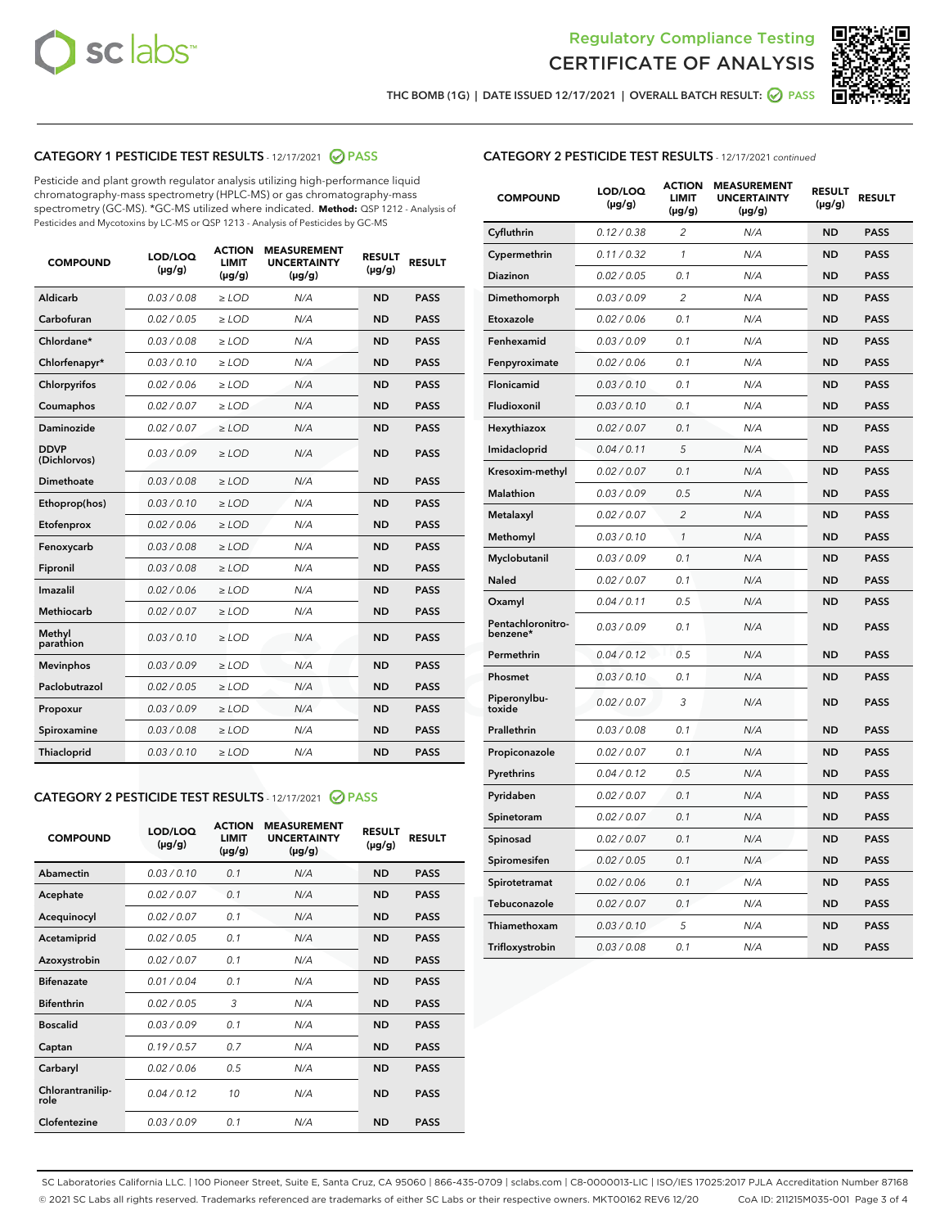



THC BOMB (1G) | DATE ISSUED 12/17/2021 | OVERALL BATCH RESULT:  $\bigcirc$  PASS

# CATEGORY 1 PESTICIDE TEST RESULTS - 12/17/2021 2 PASS

Pesticide and plant growth regulator analysis utilizing high-performance liquid chromatography-mass spectrometry (HPLC-MS) or gas chromatography-mass spectrometry (GC-MS). \*GC-MS utilized where indicated. **Method:** QSP 1212 - Analysis of Pesticides and Mycotoxins by LC-MS or QSP 1213 - Analysis of Pesticides by GC-MS

| <b>COMPOUND</b>             | LOD/LOQ<br>$(\mu g/g)$ | <b>ACTION</b><br><b>LIMIT</b><br>$(\mu g/g)$ | <b>MEASUREMENT</b><br><b>UNCERTAINTY</b><br>$(\mu g/g)$ | <b>RESULT</b><br>$(\mu g/g)$ | <b>RESULT</b> |
|-----------------------------|------------------------|----------------------------------------------|---------------------------------------------------------|------------------------------|---------------|
| Aldicarb                    | 0.03/0.08              | $>$ LOD                                      | N/A                                                     | <b>ND</b>                    | <b>PASS</b>   |
| Carbofuran                  | 0.02 / 0.05            | $\ge$ LOD                                    | N/A                                                     | <b>ND</b>                    | <b>PASS</b>   |
| Chlordane*                  | 0.03/0.08              | $>$ LOD                                      | N/A                                                     | <b>ND</b>                    | <b>PASS</b>   |
| Chlorfenapyr*               | 0.03 / 0.10            | $\ge$ LOD                                    | N/A                                                     | <b>ND</b>                    | <b>PASS</b>   |
| Chlorpyrifos                | 0.02 / 0.06            | $\ge$ LOD                                    | N/A                                                     | <b>ND</b>                    | <b>PASS</b>   |
| Coumaphos                   | 0.02 / 0.07            | $\ge$ LOD                                    | N/A                                                     | <b>ND</b>                    | <b>PASS</b>   |
| Daminozide                  | 0.02 / 0.07            | $\ge$ LOD                                    | N/A                                                     | <b>ND</b>                    | <b>PASS</b>   |
| <b>DDVP</b><br>(Dichlorvos) | 0.03/0.09              | $\ge$ LOD                                    | N/A                                                     | <b>ND</b>                    | <b>PASS</b>   |
| <b>Dimethoate</b>           | 0.03/0.08              | $\ge$ LOD                                    | N/A                                                     | <b>ND</b>                    | <b>PASS</b>   |
| Ethoprop(hos)               | 0.03/0.10              | $\ge$ LOD                                    | N/A                                                     | <b>ND</b>                    | <b>PASS</b>   |
| Etofenprox                  | 0.02 / 0.06            | $\ge$ LOD                                    | N/A                                                     | <b>ND</b>                    | <b>PASS</b>   |
| Fenoxycarb                  | 0.03 / 0.08            | $\ge$ LOD                                    | N/A                                                     | <b>ND</b>                    | <b>PASS</b>   |
| Fipronil                    | 0.03/0.08              | $>$ LOD                                      | N/A                                                     | <b>ND</b>                    | <b>PASS</b>   |
| Imazalil                    | 0.02 / 0.06            | $\ge$ LOD                                    | N/A                                                     | <b>ND</b>                    | <b>PASS</b>   |
| Methiocarb                  | 0.02 / 0.07            | $\ge$ LOD                                    | N/A                                                     | <b>ND</b>                    | <b>PASS</b>   |
| Methyl<br>parathion         | 0.03/0.10              | $\ge$ LOD                                    | N/A                                                     | <b>ND</b>                    | <b>PASS</b>   |
| <b>Mevinphos</b>            | 0.03/0.09              | $\ge$ LOD                                    | N/A                                                     | <b>ND</b>                    | <b>PASS</b>   |
| Paclobutrazol               | 0.02 / 0.05            | $>$ LOD                                      | N/A                                                     | <b>ND</b>                    | <b>PASS</b>   |
| Propoxur                    | 0.03/0.09              | $\ge$ LOD                                    | N/A                                                     | <b>ND</b>                    | <b>PASS</b>   |
| Spiroxamine                 | 0.03 / 0.08            | $\ge$ LOD                                    | N/A                                                     | <b>ND</b>                    | <b>PASS</b>   |
| Thiacloprid                 | 0.03/0.10              | $\ge$ LOD                                    | N/A                                                     | <b>ND</b>                    | <b>PASS</b>   |
|                             |                        |                                              |                                                         |                              |               |

#### CATEGORY 2 PESTICIDE TEST RESULTS - 12/17/2021 @ PASS

| <b>COMPOUND</b>          | LOD/LOO<br>$(\mu g/g)$ | <b>ACTION</b><br>LIMIT<br>$(\mu g/g)$ | <b>MEASUREMENT</b><br><b>UNCERTAINTY</b><br>$(\mu g/g)$ | <b>RESULT</b><br>$(\mu g/g)$ | <b>RESULT</b> |  |
|--------------------------|------------------------|---------------------------------------|---------------------------------------------------------|------------------------------|---------------|--|
| Abamectin                | 0.03/0.10              | 0.1                                   | N/A                                                     | <b>ND</b>                    | <b>PASS</b>   |  |
| Acephate                 | 0.02/0.07              | 0.1                                   | N/A                                                     | <b>ND</b>                    | <b>PASS</b>   |  |
| Acequinocyl              | 0.02/0.07              | 0.1                                   | N/A                                                     | <b>ND</b>                    | <b>PASS</b>   |  |
| Acetamiprid              | 0.02 / 0.05            | 0.1                                   | N/A                                                     | <b>ND</b>                    | <b>PASS</b>   |  |
| Azoxystrobin             | 0.02/0.07              | 0.1                                   | N/A                                                     | <b>ND</b>                    | <b>PASS</b>   |  |
| <b>Bifenazate</b>        | 0.01 / 0.04            | 0.1                                   | N/A                                                     | <b>ND</b>                    | <b>PASS</b>   |  |
| <b>Bifenthrin</b>        | 0.02 / 0.05            | 3                                     | N/A                                                     | <b>ND</b>                    | <b>PASS</b>   |  |
| <b>Boscalid</b>          | 0.03/0.09              | 0.1                                   | N/A                                                     | <b>ND</b>                    | <b>PASS</b>   |  |
| Captan                   | 0.19/0.57              | 0.7                                   | N/A                                                     | <b>ND</b>                    | <b>PASS</b>   |  |
| Carbaryl                 | 0.02/0.06              | 0.5                                   | N/A                                                     | <b>ND</b>                    | <b>PASS</b>   |  |
| Chlorantranilip-<br>role | 0.04/0.12              | 10                                    | N/A                                                     | <b>ND</b>                    | <b>PASS</b>   |  |
| Clofentezine             | 0.03/0.09              | 0.1                                   | N/A                                                     | <b>ND</b>                    | <b>PASS</b>   |  |

| <b>CATEGORY 2 PESTICIDE TEST RESULTS</b> - 12/17/2021 continued |  |  |
|-----------------------------------------------------------------|--|--|
|                                                                 |  |  |

| <b>COMPOUND</b>               | LOD/LOQ<br>$(\mu g/g)$ | <b>ACTION</b><br>LIMIT<br>$(\mu g/g)$ | <b>MEASUREMENT</b><br><b>UNCERTAINTY</b><br>$(\mu g/g)$ | <b>RESULT</b><br>(µg/g) | <b>RESULT</b> |
|-------------------------------|------------------------|---------------------------------------|---------------------------------------------------------|-------------------------|---------------|
| Cyfluthrin                    | 0.12 / 0.38            | $\overline{\mathcal{L}}$              | N/A                                                     | ND                      | <b>PASS</b>   |
| Cypermethrin                  | 0.11 / 0.32            | 1                                     | N/A                                                     | ND                      | <b>PASS</b>   |
| Diazinon                      | 0.02 / 0.05            | 0.1                                   | N/A                                                     | ND                      | <b>PASS</b>   |
| Dimethomorph                  | 0.03 / 0.09            | 2                                     | N/A                                                     | <b>ND</b>               | <b>PASS</b>   |
| Etoxazole                     | 0.02 / 0.06            | 0.1                                   | N/A                                                     | ND                      | <b>PASS</b>   |
| Fenhexamid                    | 0.03 / 0.09            | 0.1                                   | N/A                                                     | ND                      | <b>PASS</b>   |
| Fenpyroximate                 | 0.02 / 0.06            | 0.1                                   | N/A                                                     | <b>ND</b>               | <b>PASS</b>   |
| Flonicamid                    | 0.03 / 0.10            | 0.1                                   | N/A                                                     | <b>ND</b>               | <b>PASS</b>   |
| Fludioxonil                   | 0.03 / 0.10            | 0.1                                   | N/A                                                     | <b>ND</b>               | <b>PASS</b>   |
| Hexythiazox                   | 0.02 / 0.07            | 0.1                                   | N/A                                                     | <b>ND</b>               | <b>PASS</b>   |
| Imidacloprid                  | 0.04 / 0.11            | 5                                     | N/A                                                     | <b>ND</b>               | <b>PASS</b>   |
| Kresoxim-methyl               | 0.02 / 0.07            | 0.1                                   | N/A                                                     | ND                      | <b>PASS</b>   |
| <b>Malathion</b>              | 0.03 / 0.09            | 0.5                                   | N/A                                                     | <b>ND</b>               | <b>PASS</b>   |
| Metalaxyl                     | 0.02 / 0.07            | $\overline{2}$                        | N/A                                                     | <b>ND</b>               | <b>PASS</b>   |
| Methomyl                      | 0.03 / 0.10            | $\mathbf{1}$                          | N/A                                                     | <b>ND</b>               | PASS          |
| Myclobutanil                  | 0.03 / 0.09            | 0.1                                   | N/A                                                     | <b>ND</b>               | <b>PASS</b>   |
| Naled                         | 0.02 / 0.07            | 0.1                                   | N/A                                                     | ND                      | <b>PASS</b>   |
| Oxamyl                        | 0.04 / 0.11            | 0.5                                   | N/A                                                     | ND                      | <b>PASS</b>   |
| Pentachloronitro-<br>benzene* | 0.03 / 0.09            | 0.1                                   | N/A                                                     | ND                      | <b>PASS</b>   |
| Permethrin                    | 0.04/0.12              | 0.5                                   | N/A                                                     | ND                      | <b>PASS</b>   |
| Phosmet                       | 0.03 / 0.10            | 0.1                                   | N/A                                                     | <b>ND</b>               | <b>PASS</b>   |
| Piperonylbu-<br>toxide        | 0.02 / 0.07            | 3                                     | N/A                                                     | <b>ND</b>               | <b>PASS</b>   |
| Prallethrin                   | 0.03 / 0.08            | 0.1                                   | N/A                                                     | ND                      | <b>PASS</b>   |
| Propiconazole                 | 0.02 / 0.07            | 0.1                                   | N/A                                                     | <b>ND</b>               | <b>PASS</b>   |
| Pyrethrins                    | 0.04 / 0.12            | 0.5                                   | N/A                                                     | <b>ND</b>               | <b>PASS</b>   |
| Pyridaben                     | 0.02 / 0.07            | 0.1                                   | N/A                                                     | ND                      | PASS          |
| Spinetoram                    | 0.02 / 0.07            | 0.1                                   | N/A                                                     | ND                      | PASS          |
| Spinosad                      | 0.02 / 0.07            | 0.1                                   | N/A                                                     | ND                      | <b>PASS</b>   |
| Spiromesifen                  | 0.02 / 0.05            | 0.1                                   | N/A                                                     | ND                      | PASS          |
| Spirotetramat                 | 0.02 / 0.06            | 0.1                                   | N/A                                                     | <b>ND</b>               | <b>PASS</b>   |
| Tebuconazole                  | 0.02 / 0.07            | 0.1                                   | N/A                                                     | ND                      | <b>PASS</b>   |
| Thiamethoxam                  | 0.03 / 0.10            | 5                                     | N/A                                                     | ND                      | <b>PASS</b>   |
| Trifloxystrobin               | 0.03 / 0.08            | 0.1                                   | N/A                                                     | <b>ND</b>               | <b>PASS</b>   |

SC Laboratories California LLC. | 100 Pioneer Street, Suite E, Santa Cruz, CA 95060 | 866-435-0709 | sclabs.com | C8-0000013-LIC | ISO/IES 17025:2017 PJLA Accreditation Number 87168 © 2021 SC Labs all rights reserved. Trademarks referenced are trademarks of either SC Labs or their respective owners. MKT00162 REV6 12/20 CoA ID: 211215M035-001 Page 3 of 4